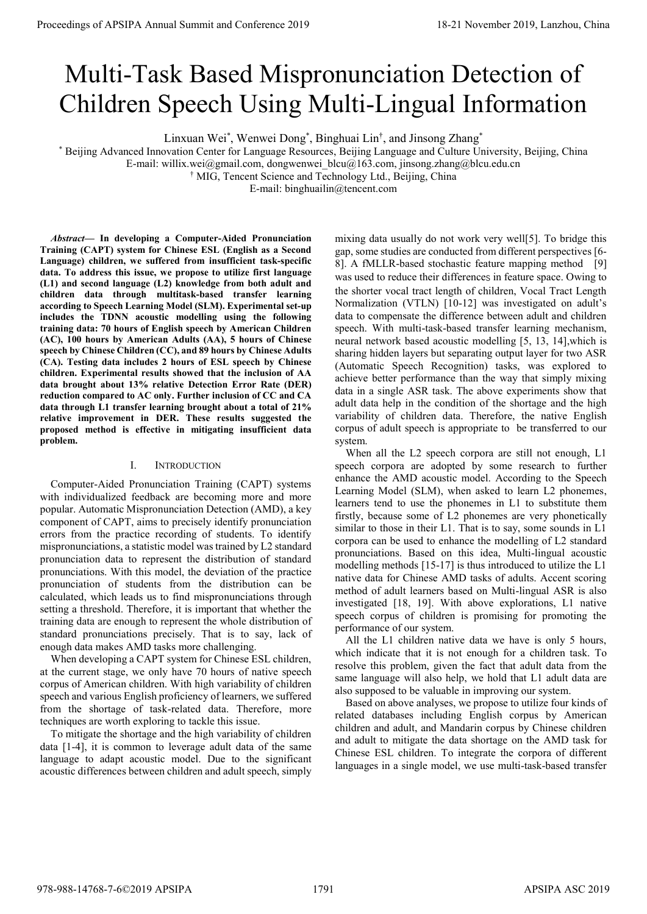# Multi-Task Based Mispronunciation Detection of Children Speech Using Multi-Lingual Information

Linxuan Wei<sup>\*</sup>, Wenwei Dong<sup>\*</sup>, Binghuai Lin<sup>†</sup>, and Jinsong Zhang<sup>\*</sup>

\* Beijing Advanced Innovation Center for Language Resources, Beijing Language and Culture University, Beijing, China

E-mail: willix.wei@gmail.com, dongwenwei blcu@163.com, jinsong.zhang@blcu.edu.cn

† MIG, Tencent Science and Technology Ltd., Beijing, China

E-mail: binghuailin@tencent.com

*Abstract***— In developing a Computer-Aided Pronunciation Training (CAPT) system for Chinese ESL (English as a Second Language) children, we suffered from insufficient task-specific data. To address this issue, we propose to utilize first language (L1) and second language (L2) knowledge from both adult and children data through multitask-based transfer learning according to Speech Learning Model (SLM). Experimental set-up includes the TDNN acoustic modelling using the following training data: 70 hours of English speech by American Children (AC), 100 hours by American Adults (AA), 5 hours of Chinese speech by Chinese Children (CC), and 89 hours by Chinese Adults (CA). Testing data includes 2 hours of ESL speech by Chinese children. Experimental results showed that the inclusion of AA data brought about 13% relative Detection Error Rate (DER) reduction compared to AC only. Further inclusion of CC and CA data through L1 transfer learning brought about a total of 21% relative improvement in DER. These results suggested the proposed method is effective in mitigating insufficient data problem.** 

# I. INTRODUCTION

Computer-Aided Pronunciation Training (CAPT) systems with individualized feedback are becoming more and more popular. Automatic Mispronunciation Detection (AMD), a key component of CAPT, aims to precisely identify pronunciation errors from the practice recording of students. To identify mispronunciations, a statistic model was trained by L2 standard pronunciation data to represent the distribution of standard pronunciations. With this model, the deviation of the practice pronunciation of students from the distribution can be calculated, which leads us to find mispronunciations through setting a threshold. Therefore, it is important that whether the training data are enough to represent the whole distribution of standard pronunciations precisely. That is to say, lack of enough data makes AMD tasks more challenging.

When developing a CAPT system for Chinese ESL children, at the current stage, we only have 70 hours of native speech corpus of American children. With high variability of children speech and various English proficiency of learners, we suffered from the shortage of task-related data. Therefore, more techniques are worth exploring to tackle this issue.

To mitigate the shortage and the high variability of children data [1-4], it is common to leverage adult data of the same language to adapt acoustic model. Due to the significant acoustic differences between children and adult speech, simply

mixing data usually do not work very well[5]. To bridge this gap, some studies are conducted from different perspectives [6- 8]. A fMLLR-based stochastic feature mapping method [9] was used to reduce their differences in feature space. Owing to the shorter vocal tract length of children, Vocal Tract Length Normalization (VTLN) [10-12] was investigated on adult's data to compensate the difference between adult and children speech. With multi-task-based transfer learning mechanism, neural network based acoustic modelling [5, 13, 14],which is sharing hidden layers but separating output layer for two ASR (Automatic Speech Recognition) tasks, was explored to achieve better performance than the way that simply mixing data in a single ASR task. The above experiments show that adult data help in the condition of the shortage and the high variability of children data. Therefore, the native English corpus of adult speech is appropriate to be transferred to our system. Proceedings of APSIPA Annual Summit of Conference 2019<br>
Multi-Lingual Information of<br>
Children Speech Using Multi-Lingual Information<br>
The strate and through interaction of<br>
The strate and the strategies of APSIPA and Con

When all the L2 speech corpora are still not enough, L1 speech corpora are adopted by some research to further enhance the AMD acoustic model. According to the Speech Learning Model (SLM), when asked to learn L2 phonemes, learners tend to use the phonemes in L1 to substitute them firstly, because some of L2 phonemes are very phonetically similar to those in their L1. That is to say, some sounds in L1 corpora can be used to enhance the modelling of L2 standard pronunciations. Based on this idea, Multi-lingual acoustic modelling methods [15-17] is thus introduced to utilize the L1 native data for Chinese AMD tasks of adults. Accent scoring method of adult learners based on Multi-lingual ASR is also investigated [18, 19]. With above explorations, L1 native speech corpus of children is promising for promoting the performance of our system.

All the L1 children native data we have is only 5 hours, which indicate that it is not enough for a children task. To resolve this problem, given the fact that adult data from the same language will also help, we hold that L1 adult data are also supposed to be valuable in improving our system.

Based on above analyses, we propose to utilize four kinds of related databases including English corpus by American children and adult, and Mandarin corpus by Chinese children and adult to mitigate the data shortage on the AMD task for Chinese ESL children. To integrate the corpora of different languages in a single model, we use multi-task-based transfer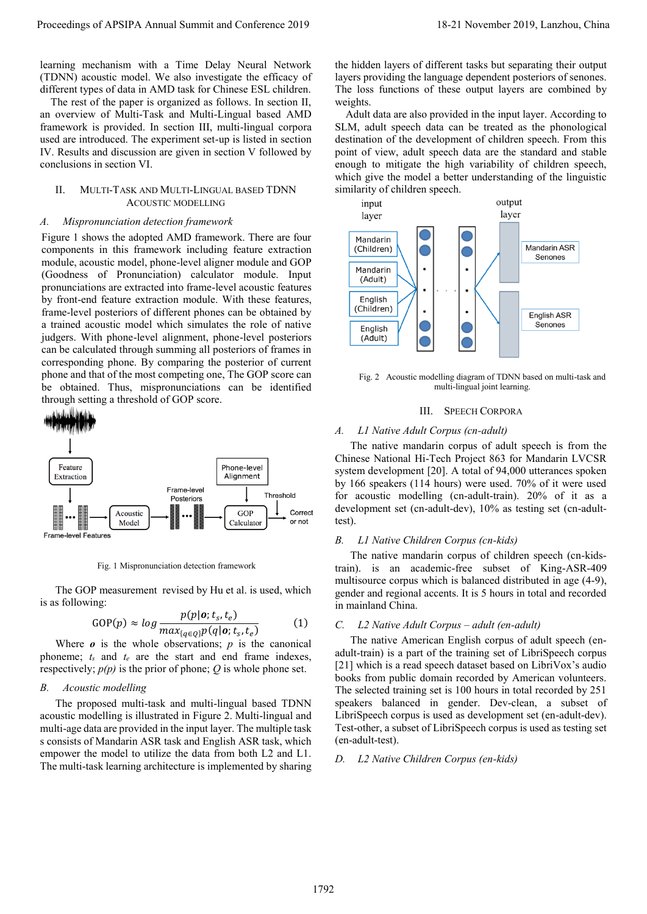learning mechanism with a Time Delay Neural Network (TDNN) acoustic model. We also investigate the efficacy of different types of data in AMD task for Chinese ESL children.

The rest of the paper is organized as follows. In section II, an overview of Multi-Task and Multi-Lingual based AMD framework is provided. In section III, multi-lingual corpora used are introduced. The experiment set-up is listed in section IV. Results and discussion are given in section V followed by conclusions in section VI.

## II. MULTI-TASK AND MULTI-LINGUAL BASED TDNN ACOUSTIC MODELLING

## *A. Mispronunciation detection framework*

Figure 1 shows the adopted AMD framework. There are four components in this framework including feature extraction module, acoustic model, phone-level aligner module and GOP (Goodness of Pronunciation) calculator module. Input pronunciations are extracted into frame-level acoustic features by front-end feature extraction module. With these features, frame-level posteriors of different phones can be obtained by a trained acoustic model which simulates the role of native judgers. With phone-level alignment, phone-level posteriors can be calculated through summing all posteriors of frames in corresponding phone. By comparing the posterior of current phone and that of the most competing one, The GOP score can be obtained. Thus, mispronunciations can be identified through setting a threshold of GOP score. Procedure of APSIPA Annual Summit and Conference 2019<br>
Harvard conference 2019 November 2019 November 2019 November 2019 November 2019 November 2019 November 2019 November 2019 November 2019 November 2019 November 2019 No



Fig. 1 Mispronunciation detection framework

The GOP measurement revised by Hu et al. is used, which is as following:

$$
GOP(p) \approx log \frac{p(p|\mathbf{o}; t_s, t_e)}{max_{\{q \in Q\}} p(q|\mathbf{o}; t_s, t_e)}
$$
(1)

Where  $\boldsymbol{o}$  is the whole observations;  $\boldsymbol{p}$  is the canonical phoneme; *t<sup>s</sup>* and *t<sup>e</sup>* are the start and end frame indexes, respectively;  $p(p)$  is the prior of phone;  $Q$  is whole phone set.

## *B. Acoustic modelling*

The proposed multi-task and multi-lingual based TDNN acoustic modelling is illustrated in Figure 2. Multi-lingual and multi-age data are provided in the input layer. The multiple task s consists of Mandarin ASR task and English ASR task, which empower the model to utilize the data from both L2 and L1. The multi-task learning architecture is implemented by sharing the hidden layers of different tasks but separating their output layers providing the language dependent posteriors of senones. The loss functions of these output layers are combined by weights.

Adult data are also provided in the input layer. According to SLM, adult speech data can be treated as the phonological destination of the development of children speech. From this point of view, adult speech data are the standard and stable enough to mitigate the high variability of children speech, which give the model a better understanding of the linguistic similarity of children speech.



Fig. 2 Acoustic modelling diagram of TDNN based on multi-task and multi-lingual joint learning.

# III. SPEECH CORPORA

## *A. L1 Native Adult Corpus (cn-adult)*

The native mandarin corpus of adult speech is from the Chinese National Hi-Tech Project 863 for Mandarin LVCSR system development [20]. A total of 94,000 utterances spoken by 166 speakers (114 hours) were used. 70% of it were used for acoustic modelling (cn-adult-train). 20% of it as a development set (cn-adult-dev), 10% as testing set (cn-adulttest).

# *B. L1 Native Children Corpus (cn-kids)*

The native mandarin corpus of children speech (cn-kidstrain). is an academic-free subset of King-ASR-409 multisource corpus which is balanced distributed in age (4-9), gender and regional accents. It is 5 hours in total and recorded in mainland China.

# *C. L2 Native Adult Corpus – adult (en-adult)*

The native American English corpus of adult speech (enadult-train) is a part of the training set of LibriSpeech corpus [21] which is a read speech dataset based on LibriVox's audio books from public domain recorded by American volunteers. The selected training set is 100 hours in total recorded by 251 speakers balanced in gender. Dev-clean, a subset of LibriSpeech corpus is used as development set (en-adult-dev). Test-other, a subset of LibriSpeech corpus is used as testing set (en-adult-test).

### *D. L2 Native Children Corpus (en-kids)*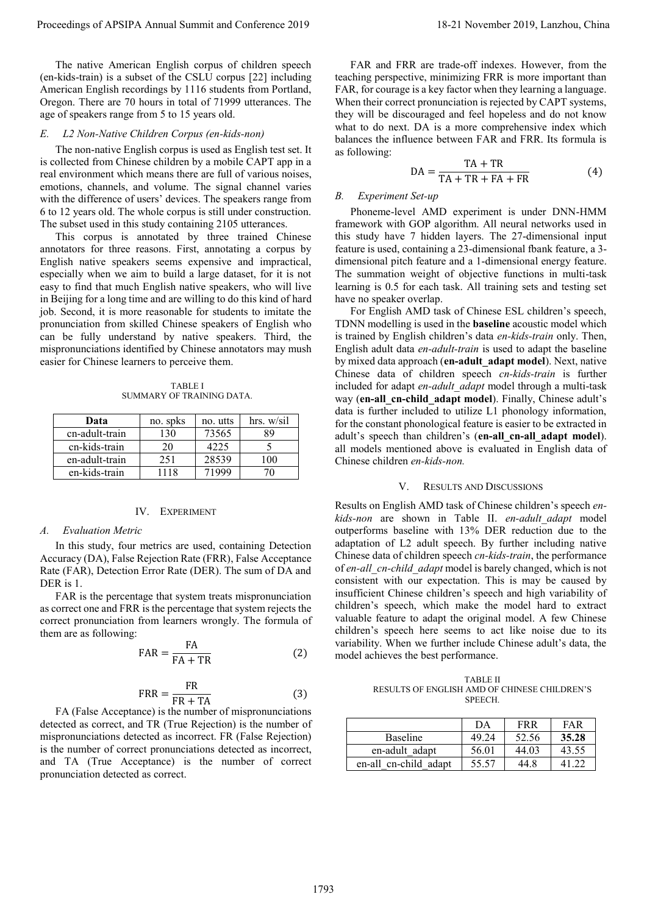The native American English corpus of children speech (en-kids-train) is a subset of the CSLU corpus [22] including American English recordings by 1116 students from Portland, Oregon. There are 70 hours in total of 71999 utterances. The age of speakers range from 5 to 15 years old.

## *E. L2 Non-Native Children Corpus (en-kids-non)*

The non-native English corpus is used as English test set. It is collected from Chinese children by a mobile CAPT app in a real environment which means there are full of various noises, emotions, channels, and volume. The signal channel varies with the difference of users' devices. The speakers range from 6 to 12 years old. The whole corpus is still under construction. The subset used in this study containing 2105 utterances.

This corpus is annotated by three trained Chinese annotators for three reasons. First, annotating a corpus by English native speakers seems expensive and impractical, especially when we aim to build a large dataset, for it is not easy to find that much English native speakers, who will live in Beijing for a long time and are willing to do this kind of hard job. Second, it is more reasonable for students to imitate the pronunciation from skilled Chinese speakers of English who can be fully understand by native speakers. Third, the mispronunciations identified by Chinese annotators may mush easier for Chinese learners to perceive them.

TABLE I SUMMARY OF TRAINING DATA.

| Data           | no. spks | no. utts | $hrs.$ w/sil |
|----------------|----------|----------|--------------|
| cn-adult-train | 130      | 73565    | 89           |
| cn-kids-train  | 20       | 4225     |              |
| en-adult-train | 251      | 28539    | 00           |
| en-kids-train  | 1118     | 1999     |              |

#### IV. EXPERIMENT

## *A. Evaluation Metric*

In this study, four metrics are used, containing Detection Accuracy (DA), False Rejection Rate (FRR), False Acceptance Rate (FAR), Detection Error Rate (DER). The sum of DA and DER is 1.

FAR is the percentage that system treats mispronunciation as correct one and FRR is the percentage that system rejects the correct pronunciation from learners wrongly. The formula of them are as following:

$$
FAR = \frac{FA}{FA + TR}
$$
 (2)

$$
FRR = \frac{FR}{FR + TA}
$$
 (3)

FA (False Acceptance) is the number of mispronunciations detected as correct, and TR (True Rejection) is the number of mispronunciations detected as incorrect. FR (False Rejection) is the number of correct pronunciations detected as incorrect, and TA (True Acceptance) is the number of correct pronunciation detected as correct.

FAR and FRR are trade-off indexes. However, from the teaching perspective, minimizing FRR is more important than FAR, for courage is a key factor when they learning a language. When their correct pronunciation is rejected by CAPT systems, they will be discouraged and feel hopeless and do not know what to do next. DA is a more comprehensive index which balances the influence between FAR and FRR. Its formula is as following:

$$
DA = \frac{TA + TR}{TA + TR + FA + FR}
$$
(4)

# *B. Experiment Set-up*

Phoneme-level AMD experiment is under DNN-HMM framework with GOP algorithm. All neural networks used in this study have 7 hidden layers. The 27-dimensional input feature is used, containing a 23-dimensional fbank feature, a 3 dimensional pitch feature and a 1-dimensional energy feature. The summation weight of objective functions in multi-task learning is 0.5 for each task. All training sets and testing set have no speaker overlap.

For English AMD task of Chinese ESL children's speech, TDNN modelling is used in the **baseline** acoustic model which is trained by English children's data *en-kids-train* only. Then, English adult data *en-adult-train* is used to adapt the baseline by mixed data approach (**en-adult\_adapt model**). Next, native Chinese data of children speech *cn-kids-train* is further included for adapt *en-adult\_adapt* model through a multi-task way (**en-all\_cn-child\_adapt model**). Finally, Chinese adult's data is further included to utilize L1 phonology information, for the constant phonological feature is easier to be extracted in adult's speech than children's (**en-all\_cn-all\_adapt model**). all models mentioned above is evaluated in English data of Chinese children *en-kids-non.*

#### V. RESULTS AND DISCUSSIONS

Results on English AMD task of Chinese children's speech *enkids-non* are shown in Table II. *en-adult\_adapt* model outperforms baseline with 13% DER reduction due to the adaptation of L2 adult speech. By further including native Chinese data of children speech *cn-kids-train*, the performance of *en-all\_cn-child\_adapt* model is barely changed, which is not consistent with our expectation. This is may be caused by insufficient Chinese children's speech and high variability of children's speech, which make the model hard to extract valuable feature to adapt the original model. A few Chinese children's speech here seems to act like noise due to its variability. When we further include Chinese adult's data, the model achieves the best performance. Proceedings of APSIPA Annual Summit and Conference 2019<br>
(Total And FRI Worsens of APSIPA Annual Summit and Conference 2019 18-21 November 2019 18-21 November 2019 18-21<br>
Conference 2019 18-21 November 2019 18-21 November

TABLE II RESULTS OF ENGLISH AMD OF CHINESE CHILDREN'S SPEECH.

|                       | DA    | FR R  | <b>FAR</b> |
|-----------------------|-------|-------|------------|
| <b>Baseline</b>       | 49.24 | 52.56 | 35.28      |
| en-adult adapt        | 56.01 | 44.03 | 43.55      |
| en-all cn-child adapt | 55.57 | 44 8  |            |